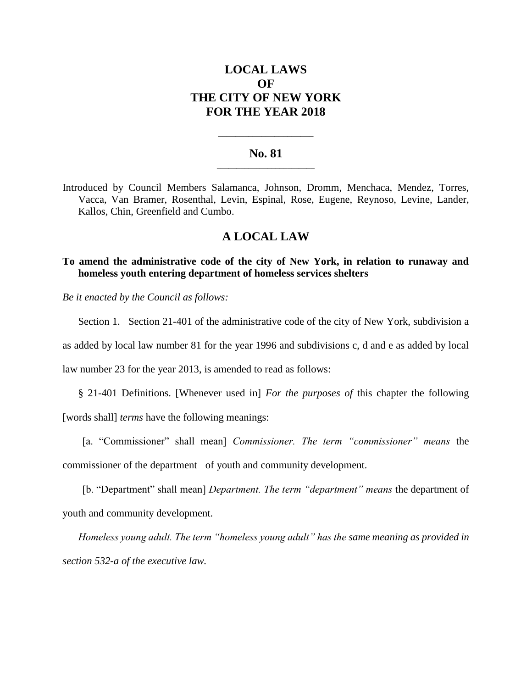# **LOCAL LAWS OF THE CITY OF NEW YORK FOR THE YEAR 2018**

### **No. 81 \_\_\_\_\_\_\_\_\_\_\_\_\_\_\_\_\_\_\_\_\_\_\_\_\_**

**\_\_\_\_\_\_\_\_\_\_\_\_\_\_\_\_\_\_\_\_\_\_**

Introduced by Council Members Salamanca, Johnson, Dromm, Menchaca, Mendez, Torres, Vacca, Van Bramer, Rosenthal, Levin, Espinal, Rose, Eugene, Reynoso, Levine, Lander, Kallos, Chin, Greenfield and Cumbo.

## **A LOCAL LAW**

## **To amend the administrative code of the city of New York, in relation to runaway and homeless youth entering department of homeless services shelters**

*Be it enacted by the Council as follows:*

Section 1. Section 21-401 of the administrative code of the city of New York, subdivision a

as added by local law number 81 for the year 1996 and subdivisions c, d and e as added by local

law number 23 for the year 2013, is amended to read as follows:

§ 21-401 Definitions. [Whenever used in] *For the purposes of* this chapter the following [words shall] *terms* have the following meanings:

[a. "Commissioner" shall mean] *Commissioner. The term "commissioner" means* the commissioner of the department of youth and community development.

[b. "Department" shall mean] *Department. The term "department" means* the department of youth and community development.

*Homeless young adult. The term "homeless young adult" has the same meaning as provided in section 532-a of the executive law.*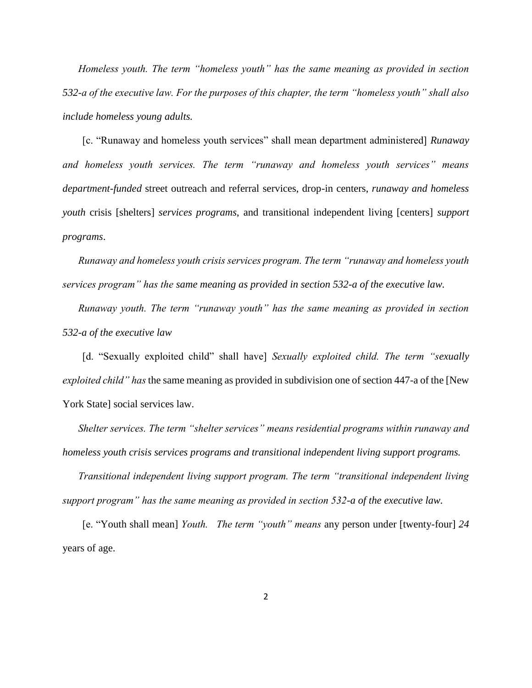*Homeless youth. The term "homeless youth" has the same meaning as provided in section 532-a of the executive law. For the purposes of this chapter, the term "homeless youth" shall also include homeless young adults.* 

[c. "Runaway and homeless youth services" shall mean department administered] *Runaway and homeless youth services. The term "runaway and homeless youth services" means department-funded* street outreach and referral services, drop-in centers, *runaway and homeless youth* crisis [shelters] *services programs*, and transitional independent living [centers] *support programs*.

*Runaway and homeless youth crisis services program. The term "runaway and homeless youth services program" has the same meaning as provided in section 532-a of the executive law.*

*Runaway youth. The term "runaway youth" has the same meaning as provided in section 532-a of the executive law*

[d. "Sexually exploited child" shall have] *Sexually exploited child. The term "sexually exploited child" has* the same meaning as provided in subdivision one of section 447-a of the [New York State] social services law.

*Shelter services. The term "shelter services" means residential programs within runaway and homeless youth crisis services programs and transitional independent living support programs.*

*Transitional independent living support program. The term "transitional independent living support program" has the same meaning as provided in section 532-a of the executive law.*

[e. "Youth shall mean] *Youth. The term "youth" means* any person under [twenty-four] *24*  years of age.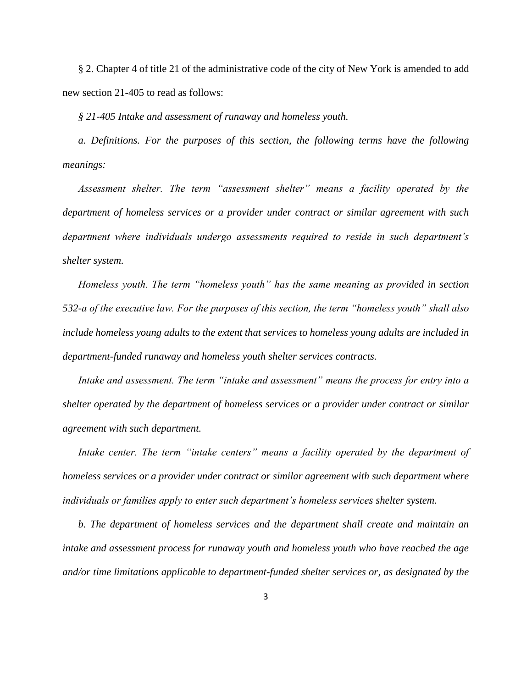§ 2. Chapter 4 of title 21 of the administrative code of the city of New York is amended to add new section 21-405 to read as follows:

*§ 21-405 Intake and assessment of runaway and homeless youth.* 

*a. Definitions. For the purposes of this section, the following terms have the following meanings:*

*Assessment shelter. The term "assessment shelter" means a facility operated by the department of homeless services or a provider under contract or similar agreement with such department where individuals undergo assessments required to reside in such department's shelter system.*

*Homeless youth. The term "homeless youth" has the same meaning as provided in section 532-a of the executive law. For the purposes of this section, the term "homeless youth" shall also include homeless young adults to the extent that services to homeless young adults are included in department-funded runaway and homeless youth shelter services contracts.*

*Intake and assessment. The term "intake and assessment" means the process for entry into a shelter operated by the department of homeless services or a provider under contract or similar agreement with such department.*

*Intake center. The term "intake centers" means a facility operated by the department of homeless services or a provider under contract or similar agreement with such department where individuals or families apply to enter such department's homeless services shelter system.* 

*b. The department of homeless services and the department shall create and maintain an intake and assessment process for runaway youth and homeless youth who have reached the age and/or time limitations applicable to department-funded shelter services or, as designated by the*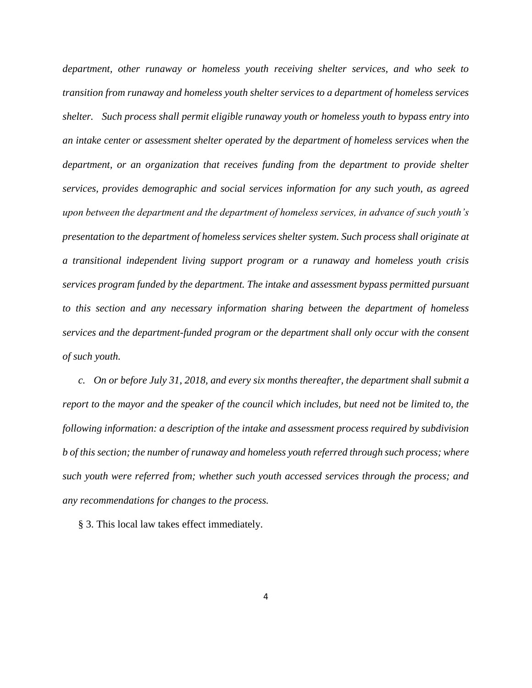*department, other runaway or homeless youth receiving shelter services, and who seek to transition from runaway and homeless youth shelter services to a department of homeless services shelter. Such process shall permit eligible runaway youth or homeless youth to bypass entry into an intake center or assessment shelter operated by the department of homeless services when the department, or an organization that receives funding from the department to provide shelter services, provides demographic and social services information for any such youth, as agreed upon between the department and the department of homeless services, in advance of such youth's presentation to the department of homeless services shelter system. Such process shall originate at a transitional independent living support program or a runaway and homeless youth crisis services program funded by the department. The intake and assessment bypass permitted pursuant to this section and any necessary information sharing between the department of homeless services and the department-funded program or the department shall only occur with the consent of such youth.* 

*c. On or before July 31, 2018, and every six months thereafter, the department shall submit a report to the mayor and the speaker of the council which includes, but need not be limited to, the following information: a description of the intake and assessment process required by subdivision b of this section; the number of runaway and homeless youth referred through such process; where such youth were referred from; whether such youth accessed services through the process; and any recommendations for changes to the process.*

§ 3. This local law takes effect immediately.